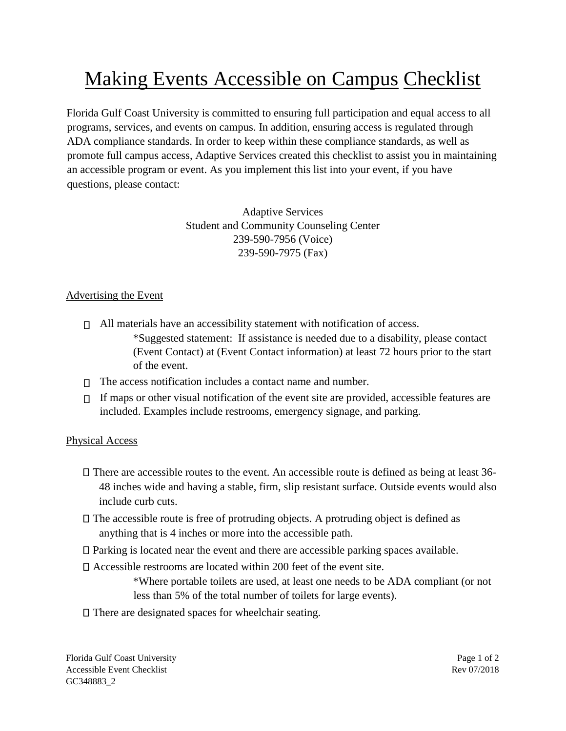# Making Events Accessible on Campus Checklist

Florida Gulf Coast University is committed to ensuring full participation and equal access to all programs, services, and events on campus. In addition, ensuring access is regulated through ADA compliance standards. In order to keep within these compliance standards, as well as promote full campus access, Adaptive Services created this checklist to assist you in maintaining an accessible program or event. As you implement this list into your event, if you have questions, please contact:

> Adaptive Services Student and Community Counseling Center 239-590-7956 (Voice) 239-590-7975 (Fax)

## Advertising the Event

- $\Box$  All materials have an accessibility statement with notification of access. \*Suggested statement: If assistance is needed due to a disability, please contact (Event Contact) at (Event Contact information) at least 72 hours prior to the start of the event.
- $\Box$  The access notification includes a contact name and number.
- $\Box$  If maps or other visual notification of the event site are provided, accessible features are included. Examples include restrooms, emergency signage, and parking.

### Physical Access

- $\Box$  There are accessible routes to the event. An accessible route is defined as being at least 36-48 inches wide and having a stable, firm, slip resistant surface. Outside events would also include curb cuts.
- $\Box$  The accessible route is free of protruding objects. A protruding object is defined as anything that is 4 inches or more into the accessible path.
- $\Box$  Parking is located near the event and there are accessible parking spaces available.
- Accessible restrooms are located within 200 feet of the event site.

\*Where portable toilets are used, at least one needs to be ADA compliant (or not less than 5% of the total number of toilets for large events).

There are designated spaces for wheelchair seating.